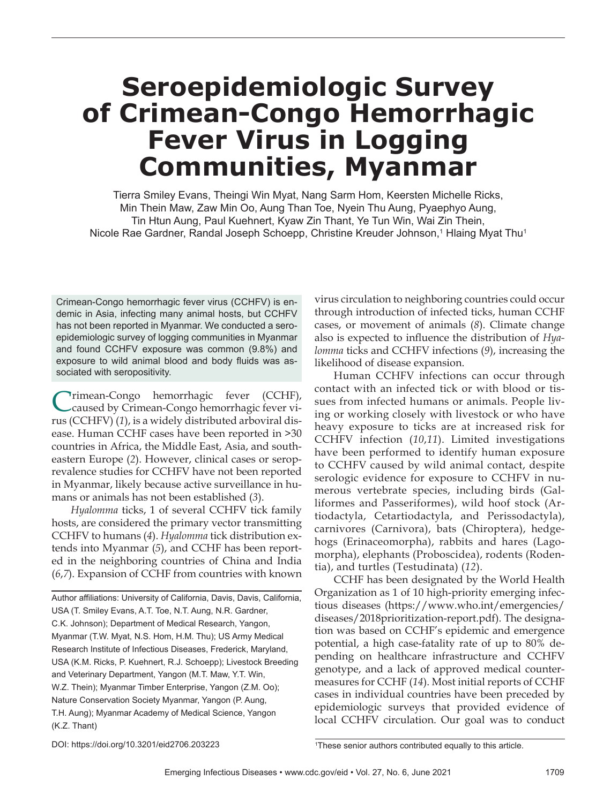# **Seroepidemiologic Survey of Crimean-Congo Hemorrhagic Fever Virus in Logging Communities, Myanmar**

Tierra Smiley Evans, Theingi Win Myat, Nang Sarm Hom, Keersten Michelle Ricks, Min Thein Maw, Zaw Min Oo, Aung Than Toe, Nyein Thu Aung, Pyaephyo Aung, Tin Htun Aung, Paul Kuehnert, Kyaw Zin Thant, Ye Tun Win, Wai Zin Thein, Nicole Rae Gardner, Randal Joseph Schoepp, Christine Kreuder Johnson,1 Hlaing Myat Thu1

Crimean-Congo hemorrhagic fever virus (CCHFV) is endemic in Asia, infecting many animal hosts, but CCHFV has not been reported in Myanmar. We conducted a seroepidemiologic survey of logging communities in Myanmar and found CCHFV exposure was common (9.8%) and exposure to wild animal blood and body fluids was associated with seropositivity.

Crimean-Congo hemorrhagic fever (CCHF),<br>Caused by Crimean-Congo hemorrhagic fever virus (CCHFV) (*1*), is a widely distributed arboviral disease. Human CCHF cases have been reported in >30 countries in Africa, the Middle East, Asia, and southeastern Europe (*2*). However, clinical cases or seroprevalence studies for CCHFV have not been reported in Myanmar, likely because active surveillance in humans or animals has not been established (*3*).

*Hyalomma* ticks, 1 of several CCHFV tick family hosts, are considered the primary vector transmitting CCHFV to humans (*4*). *Hyalomma* tick distribution extends into Myanmar (*5*), and CCHF has been reported in the neighboring countries of China and India (*6*,*7*). Expansion of CCHF from countries with known

Author affiliations: University of California, Davis, Davis, California, USA (T. Smiley Evans, A.T. Toe, N.T. Aung, N.R. Gardner, C.K. Johnson); Department of Medical Research, Yangon, Myanmar (T.W. Myat, N.S. Hom, H.M. Thu); US Army Medical Research Institute of Infectious Diseases, Frederick, Maryland, USA (K.M. Ricks, P. Kuehnert, R.J. Schoepp); Livestock Breeding and Veterinary Department, Yangon (M.T. Maw, Y.T. Win, W.Z. Thein); Myanmar Timber Enterprise, Yangon (Z.M. Oo); Nature Conservation Society Myanmar, Yangon (P. Aung, T.H. Aung); Myanmar Academy of Medical Science, Yangon (K.Z. Thant)

virus circulation to neighboring countries could occur through introduction of infected ticks, human CCHF cases, or movement of animals (*8*). Climate change also is expected to influence the distribution of *Hyalomma* ticks and CCHFV infections (*9*), increasing the likelihood of disease expansion.

Human CCHFV infections can occur through contact with an infected tick or with blood or tissues from infected humans or animals. People living or working closely with livestock or who have heavy exposure to ticks are at increased risk for CCHFV infection (*10*,*11*). Limited investigations have been performed to identify human exposure to CCHFV caused by wild animal contact, despite serologic evidence for exposure to CCHFV in numerous vertebrate species, including birds (Galliformes and Passeriformes), wild hoof stock (Artiodactyla, Cetartiodactyla, and Perissodactyla), carnivores (Carnivora), bats (Chiroptera), hedgehogs (Erinaceomorpha), rabbits and hares (Lagomorpha), elephants (Proboscidea), rodents (Rodentia), and turtles (Testudinata) (*12*).

CCHF has been designated by the World Health Organization as 1 of 10 high-priority emerging infectious diseases (https://www.who.int/emergencies/ diseases/2018prioritization-report.pdf). The designation was based on CCHF's epidemic and emergence potential, a high case-fatality rate of up to 80% depending on healthcare infrastructure and CCHFV genotype, and a lack of approved medical countermeasures for CCHF (*14*). Most initial reports of CCHF cases in individual countries have been preceded by epidemiologic surveys that provided evidence of local CCHFV circulation. Our goal was to conduct

DOI: https://doi.org/10.3201/eid2706.203223 <sup>1</sup>

<sup>&</sup>lt;sup>1</sup>These senior authors contributed equally to this article.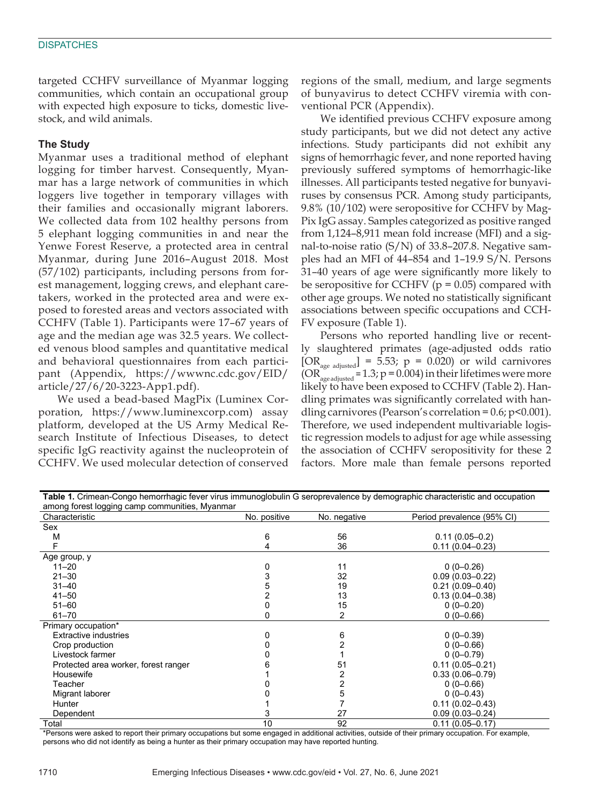targeted CCHFV surveillance of Myanmar logging communities, which contain an occupational group with expected high exposure to ticks, domestic livestock, and wild animals.

#### **The Study**

Myanmar uses a traditional method of elephant logging for timber harvest. Consequently, Myanmar has a large network of communities in which loggers live together in temporary villages with their families and occasionally migrant laborers. We collected data from 102 healthy persons from 5 elephant logging communities in and near the Yenwe Forest Reserve, a protected area in central Myanmar, during June 2016–August 2018. Most (57/102) participants, including persons from forest management, logging crews, and elephant caretakers, worked in the protected area and were exposed to forested areas and vectors associated with CCHFV (Table 1). Participants were 17–67 years of age and the median age was 32.5 years. We collected venous blood samples and quantitative medical and behavioral questionnaires from each participant (Appendix, https://wwwnc.cdc.gov/EID/ article/27/6/20-3223-App1.pdf).

We used a bead-based MagPix (Luminex Corporation, https://www.luminexcorp.com) assay platform, developed at the US Army Medical Research Institute of Infectious Diseases, to detect specific IgG reactivity against the nucleoprotein of CCHFV. We used molecular detection of conserved

regions of the small, medium, and large segments of bunyavirus to detect CCHFV viremia with conventional PCR (Appendix).

We identified previous CCHFV exposure among study participants, but we did not detect any active infections. Study participants did not exhibit any signs of hemorrhagic fever, and none reported having previously suffered symptoms of hemorrhagic-like illnesses. All participants tested negative for bunyaviruses by consensus PCR. Among study participants, 9.8% (10/102) were seropositive for CCHFV by Mag-Pix IgG assay. Samples categorized as positive ranged from 1,124–8,911 mean fold increase (MFI) and a signal-to-noise ratio (S/N) of 33.8–207.8. Negative samples had an MFI of 44–854 and 1–19.9 S/N. Persons 31–40 years of age were significantly more likely to be seropositive for CCHFV ( $p = 0.05$ ) compared with other age groups. We noted no statistically significant associations between specific occupations and CCH-FV exposure (Table 1).

Persons who reported handling live or recently slaughtered primates (age-adjusted odds ratio  $[OR<sub>age adjusted</sub>] = 5.53; p = 0.020$  or wild carnivores (OR<sub>age adjusted</sub> = 1.3;  $p = 0.004$ ) in their lifetimes were more likely to have been exposed to CCHFV (Table 2). Handling primates was significantly correlated with handling carnivores (Pearson's correlation =  $0.6$ ; p< $0.001$ ). Therefore, we used independent multivariable logistic regression models to adjust for age while assessing the association of CCHFV seropositivity for these 2 factors. More male than female persons reported

| <b>Table 1.</b> Crimean-Congo hemorrhagic fever virus immunoglobulin G seroprevalence by demographic characteristic and occupation |              |              |                            |  |  |
|------------------------------------------------------------------------------------------------------------------------------------|--------------|--------------|----------------------------|--|--|
| among forest logging camp communities, Myanmar                                                                                     |              |              |                            |  |  |
| Characteristic                                                                                                                     | No. positive | No. negative | Period prevalence (95% CI) |  |  |
| Sex                                                                                                                                |              |              |                            |  |  |
| M                                                                                                                                  | 6            | 56           | $0.11(0.05 - 0.2)$         |  |  |
|                                                                                                                                    |              | 36           | $0.11(0.04 - 0.23)$        |  |  |
| Age group, y                                                                                                                       |              |              |                            |  |  |
| $11 - 20$                                                                                                                          |              | 11           | $0(0-0.26)$                |  |  |
| $21 - 30$                                                                                                                          |              | 32           | $0.09(0.03 - 0.22)$        |  |  |
| $31 - 40$                                                                                                                          |              | 19           | $0.21(0.09 - 0.40)$        |  |  |
| $41 - 50$                                                                                                                          |              | 13           | $0.13(0.04 - 0.38)$        |  |  |
| $51 - 60$                                                                                                                          |              | 15           | $0(0-0.20)$                |  |  |
| $61 - 70$                                                                                                                          |              | 2            | $0(0-0.66)$                |  |  |
| Primary occupation*                                                                                                                |              |              |                            |  |  |
| <b>Extractive industries</b>                                                                                                       |              | 6            | $0(0-0.39)$                |  |  |
| Crop production                                                                                                                    |              |              | $0(0-0.66)$                |  |  |
| Livestock farmer                                                                                                                   |              |              | $0(0-0.79)$                |  |  |
| Protected area worker, forest ranger                                                                                               |              | 51           | $0.11(0.05 - 0.21)$        |  |  |
| Housewife                                                                                                                          |              | 2            | $0.33(0.06 - 0.79)$        |  |  |
| Teacher                                                                                                                            |              | 2            | $0(0-0.66)$                |  |  |
| Migrant laborer                                                                                                                    |              | 5            | $0(0-0.43)$                |  |  |
| <b>Hunter</b>                                                                                                                      |              |              | $0.11(0.02 - 0.43)$        |  |  |
| Dependent                                                                                                                          |              | 27           | $0.09(0.03 - 0.24)$        |  |  |
| Total                                                                                                                              | 10           | 92           | $0.11(0.05 - 0.17)$        |  |  |

\*Persons were asked to report their primary occupations but some engaged in additional activities, outside of their primary occupation. For example, persons who did not identify as being a hunter as their primary occupation may have reported hunting.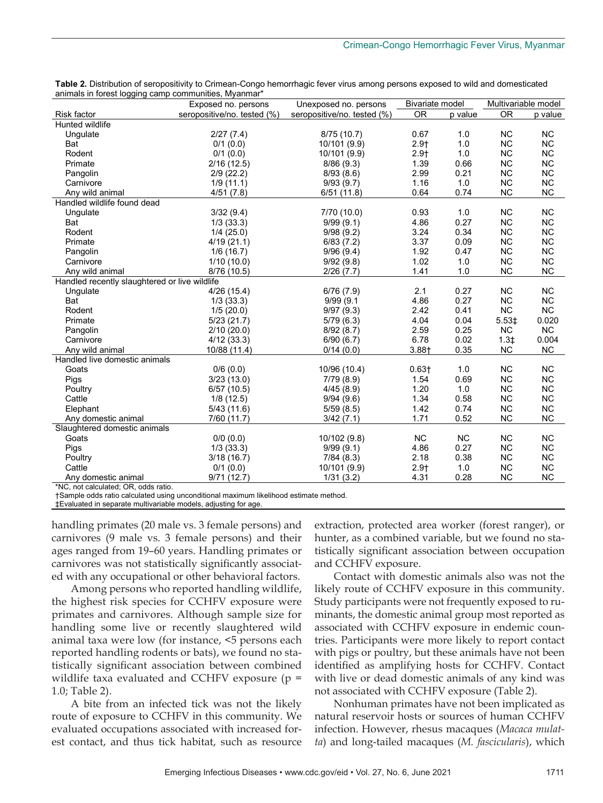|                                               | Exposed no. persons         | Unexposed no. persons       | <b>Bivariate model</b> |           | Multivariable model |           |
|-----------------------------------------------|-----------------------------|-----------------------------|------------------------|-----------|---------------------|-----------|
| <b>Risk factor</b>                            | seropositive/no. tested (%) | seropositive/no. tested (%) | <b>OR</b>              | p value   | <b>OR</b>           | p value   |
| Hunted wildlife                               |                             |                             |                        |           |                     |           |
| Ungulate                                      | 2/27(7.4)                   | 8/75 (10.7)                 | 0.67                   | 1.0       | <b>NC</b>           | <b>NC</b> |
| Bat                                           | $0/1$ (0.0)                 | 10/101 (9.9)                | $2.9+$                 | 1.0       | <b>NC</b>           | <b>NC</b> |
| Rodent                                        | $0/1$ (0.0)                 | 10/101 (9.9)                | $2.9+$                 | 1.0       | <b>NC</b>           | <b>NC</b> |
| Primate                                       | 2/16(12.5)                  | 8/86(9.3)                   | 1.39                   | 0.66      | <b>NC</b>           | <b>NC</b> |
| Pangolin                                      | 2/9(22.2)                   | 8/93(8.6)                   | 2.99                   | 0.21      | <b>NC</b>           | <b>NC</b> |
| Carnivore                                     | 1/9(11.1)                   | 9/93(9.7)                   | 1.16                   | 1.0       | <b>NC</b>           | <b>NC</b> |
| Any wild animal                               | 4/51(7.8)                   | 6/51(11.8)                  | 0.64                   | 0.74      | <b>NC</b>           | <b>NC</b> |
| Handled wildlife found dead                   |                             |                             |                        |           |                     |           |
| Ungulate                                      | 3/32(9.4)                   | 7/70 (10.0)                 | 0.93                   | 1.0       | <b>NC</b>           | <b>NC</b> |
| Bat                                           | 1/3(33.3)                   | 9/99(9.1)                   | 4.86                   | 0.27      | <b>NC</b>           | <b>NC</b> |
| Rodent                                        | 1/4(25.0)                   | 9/98(9.2)                   | 3.24                   | 0.34      | <b>NC</b>           | <b>NC</b> |
| Primate                                       | 4/19(21.1)                  | 6/83(7.2)                   | 3.37                   | 0.09      | <b>NC</b>           | <b>NC</b> |
| Pangolin                                      | 1/6(16.7)                   | 9/96(9.4)                   | 1.92                   | 0.47      | <b>NC</b>           | <b>NC</b> |
| Carnivore                                     | 1/10(10.0)                  | 9/92(9.8)                   | 1.02                   | 1.0       | <b>NC</b>           | <b>NC</b> |
| Any wild animal                               | 8/76 (10.5)                 | 2/26(7.7)                   | 1.41                   | 1.0       | <b>NC</b>           | <b>NC</b> |
| Handled recently slaughtered or live wildlife |                             |                             |                        |           |                     |           |
| Ungulate                                      | 4/26(15.4)                  | 6/76(7.9)                   | 2.1                    | 0.27      | <b>NC</b>           | <b>NC</b> |
| Bat                                           | 1/3(33.3)                   | 9/99(9.1)                   | 4.86                   | 0.27      | <b>NC</b>           | <b>NC</b> |
| Rodent                                        | 1/5(20.0)                   | 9/97(9.3)                   | 2.42                   | 0.41      | <b>NC</b>           | <b>NC</b> |
| Primate                                       | 5/23(21.7)                  | 5/79(6.3)                   | 4.04                   | 0.04      | 5.53‡               | 0.020     |
| Pangolin                                      | 2/10(20.0)                  | 8/92(8.7)                   | 2.59                   | 0.25      | <b>NC</b>           | NC.       |
| Carnivore                                     | 4/12(33.3)                  | 6/90(6.7)                   | 6.78                   | 0.02      | $1.3+$              | 0.004     |
| Any wild animal                               | 10/88 (11.4)                | 0/14(0.0)                   | $3.88 +$               | 0.35      | <b>NC</b>           | <b>NC</b> |
| Handled live domestic animals                 |                             |                             |                        |           |                     |           |
| Goats                                         | 0/6(0.0)                    | 10/96 (10.4)                | $0.63 +$               | 1.0       | <b>NC</b>           | <b>NC</b> |
| Pigs                                          | 3/23(13.0)                  | 7/79(8.9)                   | 1.54                   | 0.69      | <b>NC</b>           | <b>NC</b> |
| Poultry                                       | 6/57(10.5)                  | 4/45(8.9)                   | 1.20                   | 1.0       | <b>NC</b>           | <b>NC</b> |
| Cattle                                        | 1/8(12.5)                   | 9/94(9.6)                   | 1.34                   | 0.58      | <b>NC</b>           | <b>NC</b> |
| Elephant                                      | 5/43(11.6)                  | 5/59(8.5)                   | 1.42                   | 0.74      | <b>NC</b>           | <b>NC</b> |
| Any domestic animal                           | 7/60 (11.7)                 | 3/42(7.1)                   | 1.71                   | 0.52      | <b>NC</b>           | <b>NC</b> |
| Slaughtered domestic animals                  |                             |                             |                        |           |                     |           |
| Goats                                         | $0/0$ $(0.0)$               | 10/102 (9.8)                | <b>NC</b>              | <b>NC</b> | <b>NC</b>           | <b>NC</b> |
| Pigs                                          | 1/3(33.3)                   | 9/99(9.1)                   | 4.86                   | 0.27      | <b>NC</b>           | <b>NC</b> |
| Poultry                                       | 3/18 (16.7)                 | 7/84(8.3)                   | 2.18                   | 0.38      | <b>NC</b>           | <b>NC</b> |
| Cattle                                        | $0/1$ (0.0)                 | 10/101 (9.9)                | $2.9+$                 | 1.0       | <b>NC</b>           | <b>NC</b> |
| Any domestic animal                           | 9/71(12.7)                  | 1/31(3.2)                   | 4.31                   | 0.28      | <b>NC</b>           | <b>NC</b> |
| *NC not calculated: OR odde ratio             |                             |                             |                        |           |                     |           |

Table 2. Distribution of seropositivity to Crimean-Congo hemorrhagic fever virus among persons exposed to wild and domesticated animals in forest logging camp communities, Myanmar\*

\*NC, not calculated; OR, odds ratio.

†Sample odds ratio calculated using unconditional maximum likelihood estimate method.

‡Evaluated in separate multivariable models, adjusting for age.

handling primates (20 male vs. 3 female persons) and carnivores (9 male vs. 3 female persons) and their ages ranged from 19–60 years. Handling primates or carnivores was not statistically significantly associated with any occupational or other behavioral factors.

Among persons who reported handling wildlife, the highest risk species for CCHFV exposure were primates and carnivores. Although sample size for handling some live or recently slaughtered wild animal taxa were low (for instance, <5 persons each reported handling rodents or bats), we found no statistically significant association between combined wildlife taxa evaluated and CCHFV exposure (p = 1.0; Table 2).

A bite from an infected tick was not the likely route of exposure to CCHFV in this community. We evaluated occupations associated with increased forest contact, and thus tick habitat, such as resource

extraction, protected area worker (forest ranger), or hunter, as a combined variable, but we found no statistically significant association between occupation and CCHFV exposure.

Contact with domestic animals also was not the likely route of CCHFV exposure in this community. Study participants were not frequently exposed to ruminants, the domestic animal group most reported as associated with CCHFV exposure in endemic countries. Participants were more likely to report contact with pigs or poultry, but these animals have not been identified as amplifying hosts for CCHFV. Contact with live or dead domestic animals of any kind was not associated with CCHFV exposure (Table 2).

Nonhuman primates have not been implicated as natural reservoir hosts or sources of human CCHFV infection. However, rhesus macaques (*Macaca mulatta*) and long-tailed macaques (*M. fascicularis*), which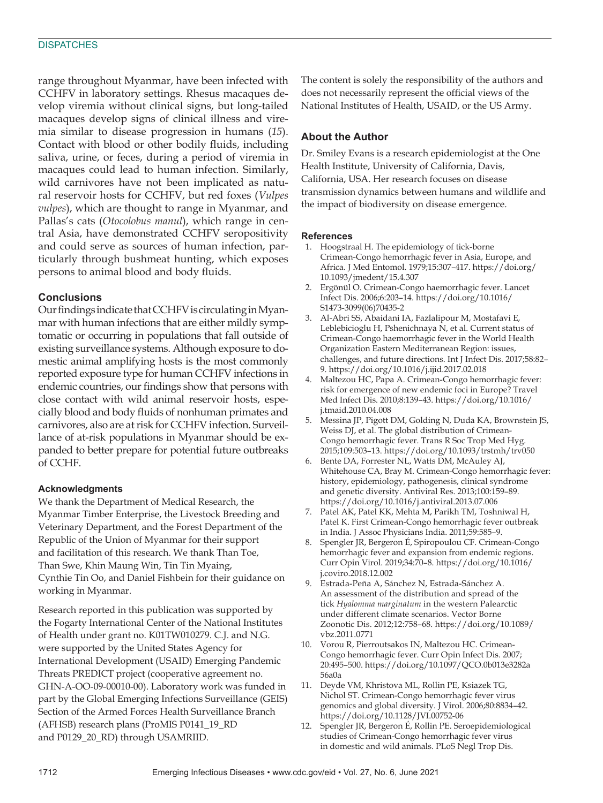#### **DISPATCHES**

range throughout Myanmar, have been infected with CCHFV in laboratory settings. Rhesus macaques develop viremia without clinical signs, but long-tailed macaques develop signs of clinical illness and viremia similar to disease progression in humans (*15*). Contact with blood or other bodily fluids, including saliva, urine, or feces, during a period of viremia in macaques could lead to human infection. Similarly, wild carnivores have not been implicated as natural reservoir hosts for CCHFV, but red foxes (*Vulpes vulpes*), which are thought to range in Myanmar, and Pallas's cats (*Otocolobus manul*), which range in central Asia, have demonstrated CCHFV seropositivity and could serve as sources of human infection, particularly through bushmeat hunting, which exposes persons to animal blood and body fluids.

#### **Conclusions**

Our findings indicate that CCHFV is circulating in Myanmar with human infections that are either mildly symptomatic or occurring in populations that fall outside of existing surveillance systems. Although exposure to domestic animal amplifying hosts is the most commonly reported exposure type for human CCHFV infections in endemic countries, our findings show that persons with close contact with wild animal reservoir hosts, especially blood and body fluids of nonhuman primates and carnivores, also are at risk for CCHFV infection. Surveillance of at-risk populations in Myanmar should be expanded to better prepare for potential future outbreaks of CCHF.

#### **Acknowledgments**

We thank the Department of Medical Research, the Myanmar Timber Enterprise, the Livestock Breeding and Veterinary Department, and the Forest Department of the Republic of the Union of Myanmar for their support and facilitation of this research. We thank Than Toe, Than Swe, Khin Maung Win, Tin Tin Myaing, Cynthie Tin Oo, and Daniel Fishbein for their guidance on working in Myanmar.

Research reported in this publication was supported by the Fogarty International Center of the National Institutes of Health under grant no. K01TW010279. C.J. and N.G. were supported by the United States Agency for International Development (USAID) Emerging Pandemic Threats PREDICT project (cooperative agreement no. GHN-A-OO-09-00010-00). Laboratory work was funded in part by the Global Emerging Infections Surveillance (GEIS) Section of the Armed Forces Health Surveillance Branch (AFHSB) research plans (ProMIS P0141\_19\_RD and P0129\_20\_RD) through USAMRIID.

The content is solely the responsibility of the authors and does not necessarily represent the official views of the National Institutes of Health, USAID, or the US Army.

#### **About the Author**

Dr. Smiley Evans is a research epidemiologist at the One Health Institute, University of California, Davis, California, USA. Her research focuses on disease transmission dynamics between humans and wildlife and the impact of biodiversity on disease emergence.

#### **References**

- 1. Hoogstraal H. The epidemiology of tick-borne Crimean-Congo hemorrhagic fever in Asia, Europe, and Africa. J Med Entomol. 1979;15:307–417. https://doi.org/ 10.1093/jmedent/15.4.307
- 2. Ergönül O. Crimean-Congo haemorrhagic fever. Lancet Infect Dis. 2006;6:203–14. https://doi.org/10.1016/ S1473-3099(06)70435-2
- 3. Al-Abri SS, Abaidani IA, Fazlalipour M, Mostafavi E, Leblebicioglu H, Pshenichnaya N, et al. Current status of Crimean-Congo haemorrhagic fever in the World Health Organization Eastern Mediterranean Region: issues, challenges, and future directions. Int J Infect Dis. 2017;58:82– 9. https://doi.org/10.1016/j.ijid.2017.02.018
- 4. Maltezou HC, Papa A. Crimean-Congo hemorrhagic fever: risk for emergence of new endemic foci in Europe? Travel Med Infect Dis. 2010;8:139–43. https://doi.org/10.1016/ j.tmaid.2010.04.008
- 5. Messina JP, Pigott DM, Golding N, Duda KA, Brownstein JS, Weiss DJ, et al. The global distribution of Crimean-Congo hemorrhagic fever. Trans R Soc Trop Med Hyg. 2015;109:503–13. https://doi.org/10.1093/trstmh/trv050
- 6. Bente DA, Forrester NL, Watts DM, McAuley AJ, Whitehouse CA, Bray M. Crimean-Congo hemorrhagic fever: history, epidemiology, pathogenesis, clinical syndrome and genetic diversity. Antiviral Res. 2013;100:159–89. https://doi.org/10.1016/j.antiviral.2013.07.006
- 7. Patel AK, Patel KK, Mehta M, Parikh TM, Toshniwal H, Patel K. First Crimean-Congo hemorrhagic fever outbreak in India. J Assoc Physicians India. 2011;59:585–9.
- 8. Spengler JR, Bergeron É, Spiropoulou CF. Crimean-Congo hemorrhagic fever and expansion from endemic regions. Curr Opin Virol. 2019;34:70–8. https://doi.org/10.1016/ j.coviro.2018.12.002
- 9. Estrada-Peña A, Sánchez N, Estrada-Sánchez A. An assessment of the distribution and spread of the tick *Hyalomma marginatum* in the western Palearctic under different climate scenarios. Vector Borne Zoonotic Dis. 2012;12:758–68. https://doi.org/10.1089/ vbz.2011.0771
- 10. Vorou R, Pierroutsakos IN, Maltezou HC. Crimean-Congo hemorrhagic fever. Curr Opin Infect Dis. 2007; 20:495–500. https://doi.org/10.1097/QCO.0b013e3282a 56a0a
- 11. Deyde VM, Khristova ML, Rollin PE, Ksiazek TG, Nichol ST. Crimean-Congo hemorrhagic fever virus genomics and global diversity. J Virol. 2006;80:8834–42. https://doi.org/10.1128/JVI.00752-06
- 12. Spengler JR, Bergeron É, Rollin PE. Seroepidemiological studies of Crimean-Congo hemorrhagic fever virus in domestic and wild animals. PLoS Negl Trop Dis.